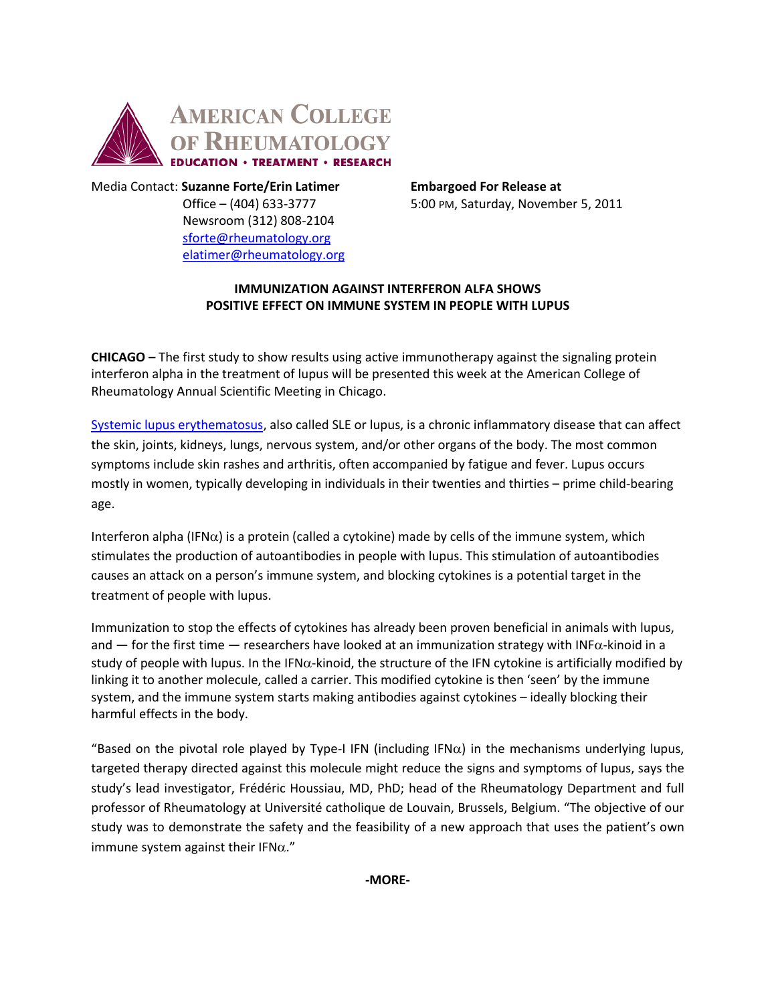

Media Contact: **Suzanne Forte/Erin Latimer Embargoed For Release at** Newsroom (312) 808-2104 [sforte@rheumatology.org](mailto:sforte@rheumatology.org) [elatimer@rheumatology.org](mailto:elatimer@rheumatology.org)

Office – (404) 633-3777 5:00 PM, Saturday, November 5, 2011

## **IMMUNIZATION AGAINST INTERFERON ALFA SHOWS POSITIVE EFFECT ON IMMUNE SYSTEM IN PEOPLE WITH LUPUS**

**CHICAGO –** The first study to show results using active immunotherapy against the signaling protein interferon alpha in the treatment of lupus will be presented this week at the American College of Rheumatology Annual Scientific Meeting in Chicago.

[Systemic lupus erythematosus,](http://www.rheumatology.org/practice/clinical/patients/diseases_and_conditions/lupus.asp) also called SLE or lupus, is a chronic inflammatory disease that can affect the skin, joints, kidneys, lungs, nervous system, and/or other organs of the body. The most common symptoms include skin rashes and arthritis, often accompanied by fatigue and fever. Lupus occurs mostly in women, typically developing in individuals in their twenties and thirties – prime child-bearing age.

Interferon alpha (IFN $\alpha$ ) is a protein (called a cytokine) made by cells of the immune system, which stimulates the production of autoantibodies in people with lupus. This stimulation of autoantibodies causes an attack on a person's immune system, and blocking cytokines is a potential target in the treatment of people with lupus.

Immunization to stop the effects of cytokines has already been proven beneficial in animals with lupus, and — for the first time — researchers have looked at an immunization strategy with INF $\alpha$ -kinoid in a study of people with lupus. In the IFN $\alpha$ -kinoid, the structure of the IFN cytokine is artificially modified by linking it to another molecule, called a carrier. This modified cytokine is then 'seen' by the immune system, and the immune system starts making antibodies against cytokines – ideally blocking their harmful effects in the body.

"Based on the pivotal role played by Type-I IFN (including IFN $\alpha$ ) in the mechanisms underlying lupus, targeted therapy directed against this molecule might reduce the signs and symptoms of lupus, says the study's lead investigator, Frédéric Houssiau, MD, PhD; head of the Rheumatology Department and full professor of Rheumatology at Université catholique de Louvain, Brussels, Belgium. "The objective of our study was to demonstrate the safety and the feasibility of a new approach that uses the patient's own immune system against their IFN $\alpha$ ."

**-MORE-**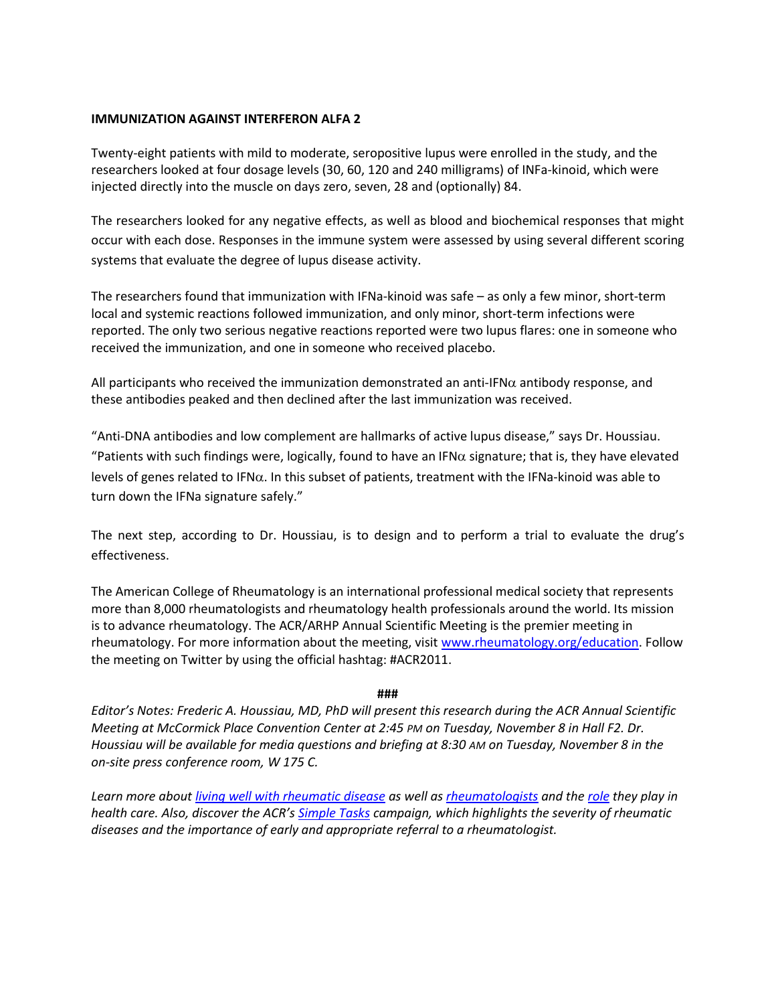### **IMMUNIZATION AGAINST INTERFERON ALFA 2**

Twenty-eight patients with mild to moderate, seropositive lupus were enrolled in the study, and the researchers looked at four dosage levels (30, 60, 120 and 240 milligrams) of INFa-kinoid, which were injected directly into the muscle on days zero, seven, 28 and (optionally) 84.

The researchers looked for any negative effects, as well as blood and biochemical responses that might occur with each dose. Responses in the immune system were assessed by using several different scoring systems that evaluate the degree of lupus disease activity.

The researchers found that immunization with IFNa-kinoid was safe – as only a few minor, short-term local and systemic reactions followed immunization, and only minor, short-term infections were reported. The only two serious negative reactions reported were two lupus flares: one in someone who received the immunization, and one in someone who received placebo.

All participants who received the immunization demonstrated an anti-IFN $\alpha$  antibody response, and these antibodies peaked and then declined after the last immunization was received.

"Anti-DNA antibodies and low complement are hallmarks of active lupus disease," says Dr. Houssiau. "Patients with such findings were, logically, found to have an IFN $\alpha$  signature; that is, they have elevated levels of genes related to IFN $\alpha$ . In this subset of patients, treatment with the IFNa-kinoid was able to turn down the IFNa signature safely."

The next step, according to Dr. Houssiau, is to design and to perform a trial to evaluate the drug's effectiveness.

The American College of Rheumatology is an international professional medical society that represents more than 8,000 rheumatologists and rheumatology health professionals around the world. Its mission is to advance rheumatology. The ACR/ARHP Annual Scientific Meeting is the premier meeting in rheumatology. For more information about the meeting, visit [www.rheumatology.org/education.](http://www.rheumatology.org/education) Follow the meeting on Twitter by using the official hashtag: #ACR2011.

#### **###**

*Editor's Notes: Frederic A. Houssiau, MD, PhD will present this research during the ACR Annual Scientific Meeting at McCormick Place Convention Center at 2:45 PM on Tuesday, November 8 in Hall F2. Dr. Houssiau will be available for media questions and briefing at 8:30 AM on Tuesday, November 8 in the on-site press conference room, W 175 C.*

*Learn more about [living well with rheumatic disease](http://www.rheumatology.org/practice/clinical/patients/diseases_and_conditions/livingwell.asp) as well as [rheumatologists](http://www.rheumatology.org/practice/clinical/patients/rheumatologist.asp) and th[e role](http://www.rheumatology.org/practice/clinical/patients/healthprofessionals/rheumatologist.asp) they play in health care. Also, discover the ACR's [Simple Tasks](http://www.simpletasks.org/) campaign, which highlights the severity of rheumatic diseases and the importance of early and appropriate referral to a rheumatologist.*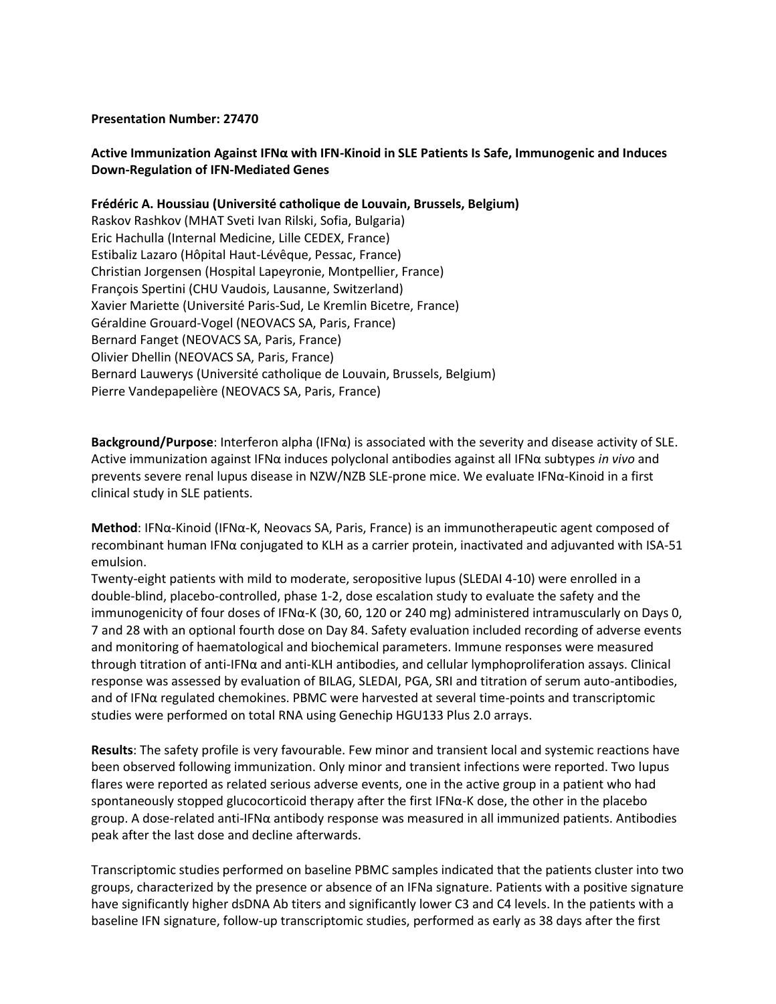### **Presentation Number: 27470**

# **Active Immunization Against IFNα with IFN-Kinoid in SLE Patients Is Safe, Immunogenic and Induces Down-Regulation of IFN-Mediated Genes**

**Frédéric A. Houssiau (Université catholique de Louvain, Brussels, Belgium)** Raskov Rashkov (MHAT Sveti Ivan Rilski, Sofia, Bulgaria) Eric Hachulla (Internal Medicine, Lille CEDEX, France) Estibaliz Lazaro (Hôpital Haut-Lévêque, Pessac, France) Christian Jorgensen (Hospital Lapeyronie, Montpellier, France) François Spertini (CHU Vaudois, Lausanne, Switzerland) Xavier Mariette (Université Paris-Sud, Le Kremlin Bicetre, France)

Géraldine Grouard-Vogel (NEOVACS SA, Paris, France) Bernard Fanget (NEOVACS SA, Paris, France) Olivier Dhellin (NEOVACS SA, Paris, France)

Bernard Lauwerys (Université catholique de Louvain, Brussels, Belgium)

Pierre Vandepapelière (NEOVACS SA, Paris, France)

**Background/Purpose**: Interferon alpha (IFNα) is associated with the severity and disease activity of SLE. Active immunization against IFNα induces polyclonal antibodies against all IFNα subtypes *in vivo* and prevents severe renal lupus disease in NZW/NZB SLE-prone mice. We evaluate IFNα-Kinoid in a first clinical study in SLE patients.

**Method**: IFNα-Kinoid (IFNα-K, Neovacs SA, Paris, France) is an immunotherapeutic agent composed of recombinant human IFNα conjugated to KLH as a carrier protein, inactivated and adjuvanted with ISA-51 emulsion.

Twenty-eight patients with mild to moderate, seropositive lupus (SLEDAI 4-10) were enrolled in a double-blind, placebo-controlled, phase 1-2, dose escalation study to evaluate the safety and the immunogenicity of four doses of IFNα-K (30, 60, 120 or 240 mg) administered intramuscularly on Days 0, 7 and 28 with an optional fourth dose on Day 84. Safety evaluation included recording of adverse events and monitoring of haematological and biochemical parameters. Immune responses were measured through titration of anti-IFNα and anti-KLH antibodies, and cellular lymphoproliferation assays. Clinical response was assessed by evaluation of BILAG, SLEDAI, PGA, SRI and titration of serum auto-antibodies, and of IFNα regulated chemokines. PBMC were harvested at several time-points and transcriptomic studies were performed on total RNA using Genechip HGU133 Plus 2.0 arrays.

**Results**: The safety profile is very favourable. Few minor and transient local and systemic reactions have been observed following immunization. Only minor and transient infections were reported. Two lupus flares were reported as related serious adverse events, one in the active group in a patient who had spontaneously stopped glucocorticoid therapy after the first IFNα-K dose, the other in the placebo group. A dose-related anti-IFNα antibody response was measured in all immunized patients. Antibodies peak after the last dose and decline afterwards.

Transcriptomic studies performed on baseline PBMC samples indicated that the patients cluster into two groups, characterized by the presence or absence of an IFNa signature. Patients with a positive signature have significantly higher dsDNA Ab titers and significantly lower C3 and C4 levels. In the patients with a baseline IFN signature, follow-up transcriptomic studies, performed as early as 38 days after the first